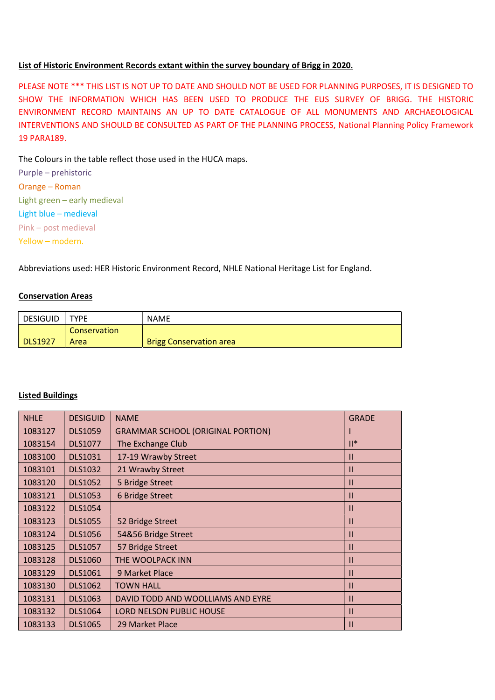## List of Historic Environment Records extant within the survey boundary of Brigg in 2020.

PLEASE NOTE \*\*\* THIS LIST IS NOT UP TO DATE AND SHOULD NOT BE USED FOR PLANNING PURPOSES, IT IS DESIGNED TO SHOW THE INFORMATION WHICH HAS BEEN USED TO PRODUCE THE EUS SURVEY OF BRIGG. THE HISTORIC ENVIRONMENT RECORD MAINTAINS AN UP TO DATE CATALOGUE OF ALL MONUMENTS AND ARCHAEOLOGICAL INTERVENTIONS AND SHOULD BE CONSULTED AS PART OF THE PLANNING PROCESS, National Planning Policy Framework 19 PARA189.

The Colours in the table reflect those used in the HUCA maps.

Purple – prehistoric Orange – Roman Light green – early medieval Light blue – medieval Pink – post medieval Yellow – modern.

Abbreviations used: HER Historic Environment Record, NHLE National Heritage List for England.

## Conservation Areas

| DESIGUID       | <b>TYPE</b>  | <b>NAME</b>                    |
|----------------|--------------|--------------------------------|
|                | Conservation |                                |
| <b>DLS1927</b> | Area         | <b>Brigg Conservation area</b> |

## Listed Buildings

| <b>NHLE</b> | <b>DESIGUID</b> | <b>NAME</b>                              | <b>GRADE</b>  |
|-------------|-----------------|------------------------------------------|---------------|
| 1083127     | <b>DLS1059</b>  | <b>GRAMMAR SCHOOL (ORIGINAL PORTION)</b> |               |
| 1083154     | <b>DLS1077</b>  | The Exchange Club                        | $  ^*$        |
| 1083100     | <b>DLS1031</b>  | 17-19 Wrawby Street                      | $\mathbf{I}$  |
| 1083101     | <b>DLS1032</b>  | 21 Wrawby Street                         | $\mathsf{II}$ |
| 1083120     | <b>DLS1052</b>  | 5 Bridge Street                          | $\mathbf{II}$ |
| 1083121     | <b>DLS1053</b>  | 6 Bridge Street                          | $\mathbf{I}$  |
| 1083122     | <b>DLS1054</b>  |                                          | $\mathsf{II}$ |
| 1083123     | <b>DLS1055</b>  | 52 Bridge Street                         | $\mathbf{I}$  |
| 1083124     | <b>DLS1056</b>  | 54&56 Bridge Street                      | $\mathsf{II}$ |
| 1083125     | <b>DLS1057</b>  | 57 Bridge Street                         | $\mathbf{I}$  |
| 1083128     | <b>DLS1060</b>  | THE WOOLPACK INN                         | $\mathbf{H}$  |
| 1083129     | <b>DLS1061</b>  | 9 Market Place                           | $\mathsf{II}$ |
| 1083130     | <b>DLS1062</b>  | <b>TOWN HALL</b>                         | $\mathbf{H}$  |
| 1083131     | <b>DLS1063</b>  | DAVID TODD AND WOOLLIAMS AND EYRE        | $\mathbf{II}$ |
| 1083132     | <b>DLS1064</b>  | <b>LORD NELSON PUBLIC HOUSE</b>          | $\mathbf{I}$  |
| 1083133     | <b>DLS1065</b>  | 29 Market Place                          | $\mathbf{I}$  |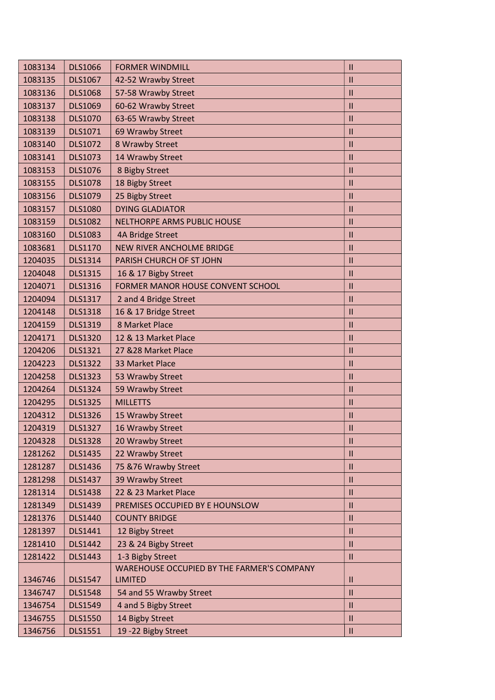| 1083134 | <b>DLS1066</b> | <b>FORMER WINDMILL</b>                     | $\mathbf{II}$ |
|---------|----------------|--------------------------------------------|---------------|
| 1083135 | <b>DLS1067</b> | 42-52 Wrawby Street                        | $\mathbf{II}$ |
| 1083136 | <b>DLS1068</b> | 57-58 Wrawby Street                        | $\mathbf{II}$ |
| 1083137 | <b>DLS1069</b> | 60-62 Wrawby Street                        | $\mathbf{II}$ |
| 1083138 | <b>DLS1070</b> | 63-65 Wrawby Street                        | $\mathbf{II}$ |
| 1083139 | DLS1071        | 69 Wrawby Street                           | $\mathbf{II}$ |
| 1083140 | <b>DLS1072</b> | 8 Wrawby Street                            | $\mathbf{II}$ |
| 1083141 | <b>DLS1073</b> | 14 Wrawby Street                           | $\mathbf{II}$ |
| 1083153 | <b>DLS1076</b> | 8 Bigby Street                             | $\mathbf{II}$ |
| 1083155 | <b>DLS1078</b> | 18 Bigby Street                            | $\mathbf{II}$ |
| 1083156 | <b>DLS1079</b> | 25 Bigby Street                            | $\mathbf{II}$ |
| 1083157 | <b>DLS1080</b> | <b>DYING GLADIATOR</b>                     | $\mathbf{II}$ |
| 1083159 | <b>DLS1082</b> | NELTHORPE ARMS PUBLIC HOUSE                | $\mathbf{II}$ |
| 1083160 | <b>DLS1083</b> | 4A Bridge Street                           | $\mathbf{II}$ |
| 1083681 | <b>DLS1170</b> | <b>NEW RIVER ANCHOLME BRIDGE</b>           | $\mathbf{II}$ |
| 1204035 | <b>DLS1314</b> | PARISH CHURCH OF ST JOHN                   | $\mathbf{II}$ |
| 1204048 | <b>DLS1315</b> | 16 & 17 Bigby Street                       | $\mathbf{I}$  |
| 1204071 | <b>DLS1316</b> | FORMER MANOR HOUSE CONVENT SCHOOL          | $\mathbf{II}$ |
| 1204094 | <b>DLS1317</b> | 2 and 4 Bridge Street                      | $\mathbf{II}$ |
| 1204148 | <b>DLS1318</b> | 16 & 17 Bridge Street                      | $\mathbf{II}$ |
| 1204159 | <b>DLS1319</b> | 8 Market Place                             | $\mathbf{II}$ |
| 1204171 | <b>DLS1320</b> | 12 & 13 Market Place                       | $\mathbf{II}$ |
| 1204206 | <b>DLS1321</b> | 27 & 28 Market Place                       | $\mathbf{II}$ |
| 1204223 | <b>DLS1322</b> | 33 Market Place                            | $\mathbf{II}$ |
| 1204258 | <b>DLS1323</b> | 53 Wrawby Street                           | $\mathbf{II}$ |
| 1204264 | <b>DLS1324</b> | 59 Wrawby Street                           | $\mathbf{II}$ |
| 1204295 | <b>DLS1325</b> | <b>MILLETTS</b>                            | $\mathbf{II}$ |
| 1204312 | <b>DLS1326</b> | 15 Wrawby Street                           | Ш             |
| 1204319 | <b>DLS1327</b> | 16 Wrawby Street                           | $\mathbf{II}$ |
| 1204328 | <b>DLS1328</b> | 20 Wrawby Street                           | Ш             |
| 1281262 | <b>DLS1435</b> | 22 Wrawby Street                           | $\mathbf{II}$ |
| 1281287 | <b>DLS1436</b> | 75 & 76 Wrawby Street                      | Ш             |
| 1281298 | <b>DLS1437</b> | 39 Wrawby Street                           | $\mathbf{II}$ |
| 1281314 | <b>DLS1438</b> | 22 & 23 Market Place                       | $\mathbf{II}$ |
| 1281349 | <b>DLS1439</b> | PREMISES OCCUPIED BY E HOUNSLOW            | Ш             |
| 1281376 | <b>DLS1440</b> | <b>COUNTY BRIDGE</b>                       | $\mathbf{II}$ |
| 1281397 | DLS1441        | 12 Bigby Street                            | $\mathbf{II}$ |
| 1281410 | <b>DLS1442</b> | 23 & 24 Bigby Street                       | $\mathbf{II}$ |
| 1281422 | <b>DLS1443</b> | 1-3 Bigby Street                           | $\mathbf{II}$ |
|         |                | WAREHOUSE OCCUPIED BY THE FARMER'S COMPANY |               |
| 1346746 | <b>DLS1547</b> | <b>LIMITED</b>                             | Ш             |
| 1346747 | <b>DLS1548</b> | 54 and 55 Wrawby Street                    | $\mathbf{II}$ |
| 1346754 | <b>DLS1549</b> | 4 and 5 Bigby Street                       | Ш             |
| 1346755 | <b>DLS1550</b> | 14 Bigby Street                            | $\mathbf{II}$ |
| 1346756 | <b>DLS1551</b> | 19 - 22 Bigby Street                       | $\mathbf{II}$ |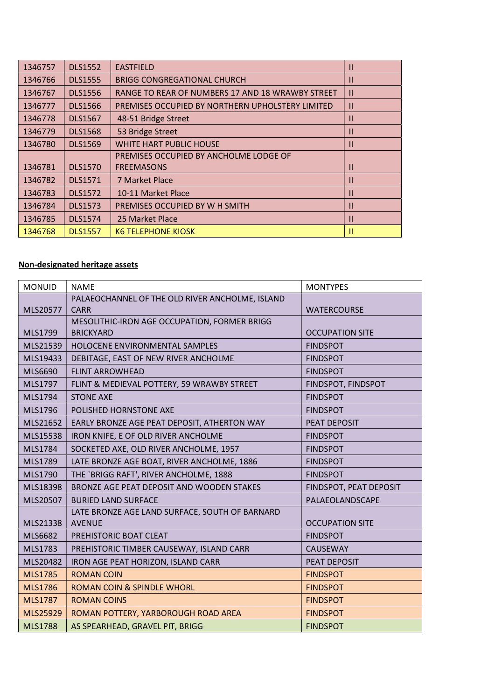| 1346757 | <b>DLS1552</b> | <b>EASTFIELD</b>                                 | Ш             |
|---------|----------------|--------------------------------------------------|---------------|
| 1346766 | <b>DLS1555</b> | <b>BRIGG CONGREGATIONAL CHURCH</b>               | Ш             |
| 1346767 | <b>DLS1556</b> | RANGE TO REAR OF NUMBERS 17 AND 18 WRAWBY STREET | $\mathbf{H}$  |
| 1346777 | <b>DLS1566</b> | PREMISES OCCUPIED BY NORTHERN UPHOLSTERY LIMITED | Ш             |
| 1346778 | <b>DLS1567</b> | 48-51 Bridge Street                              | Ш             |
| 1346779 | <b>DLS1568</b> | 53 Bridge Street                                 | Ш             |
| 1346780 | <b>DLS1569</b> | <b>WHITE HART PUBLIC HOUSE</b>                   | Ш             |
|         |                | PREMISES OCCUPIED BY ANCHOLME LODGE OF           |               |
| 1346781 | <b>DLS1570</b> | <b>FREEMASONS</b>                                | Ш             |
| 1346782 | <b>DLS1571</b> | 7 Market Place                                   | Ш             |
| 1346783 | <b>DLS1572</b> | 10-11 Market Place                               | $\mathsf{II}$ |
| 1346784 | <b>DLS1573</b> | PREMISES OCCUPIED BY W H SMITH                   | $\mathsf{II}$ |
| 1346785 | <b>DLS1574</b> | 25 Market Place                                  | Ш             |
| 1346768 | <b>DLS1557</b> | <b>K6 TELEPHONE KIOSK</b>                        | Ш             |

## Non-designated heritage assets

| <b>MONUID</b>  | <b>NAME</b>                                     | <b>MONTYPES</b>        |
|----------------|-------------------------------------------------|------------------------|
|                | PALAEOCHANNEL OF THE OLD RIVER ANCHOLME, ISLAND |                        |
| MLS20577       | <b>CARR</b>                                     | <b>WATERCOURSE</b>     |
|                | MESOLITHIC-IRON AGE OCCUPATION, FORMER BRIGG    |                        |
| MLS1799        | <b>BRICKYARD</b>                                | <b>OCCUPATION SITE</b> |
| MLS21539       | HOLOCENE ENVIRONMENTAL SAMPLES                  | <b>FINDSPOT</b>        |
| MLS19433       | DEBITAGE, EAST OF NEW RIVER ANCHOLME            | <b>FINDSPOT</b>        |
| MLS6690        | <b>FLINT ARROWHEAD</b>                          | <b>FINDSPOT</b>        |
| MLS1797        | FLINT & MEDIEVAL POTTERY, 59 WRAWBY STREET      | FINDSPOT, FINDSPOT     |
| MLS1794        | <b>STONE AXE</b>                                | <b>FINDSPOT</b>        |
| MLS1796        | POLISHED HORNSTONE AXE                          | <b>FINDSPOT</b>        |
| MLS21652       | EARLY BRONZE AGE PEAT DEPOSIT, ATHERTON WAY     | PEAT DEPOSIT           |
| MLS15538       | IRON KNIFE, E OF OLD RIVER ANCHOLME             | <b>FINDSPOT</b>        |
| MLS1784        | SOCKETED AXE, OLD RIVER ANCHOLME, 1957          | <b>FINDSPOT</b>        |
| MLS1789        | LATE BRONZE AGE BOAT, RIVER ANCHOLME, 1886      | <b>FINDSPOT</b>        |
| MLS1790        | THE `BRIGG RAFT', RIVER ANCHOLME, 1888          | <b>FINDSPOT</b>        |
| MLS18398       | BRONZE AGE PEAT DEPOSIT AND WOODEN STAKES       | FINDSPOT, PEAT DEPOSIT |
| MLS20507       | <b>BURIED LAND SURFACE</b>                      | PALAEOLANDSCAPE        |
|                | LATE BRONZE AGE LAND SURFACE, SOUTH OF BARNARD  |                        |
| MLS21338       | <b>AVENUE</b>                                   | <b>OCCUPATION SITE</b> |
| MLS6682        | PREHISTORIC BOAT CLEAT                          | <b>FINDSPOT</b>        |
| MLS1783        | PREHISTORIC TIMBER CAUSEWAY, ISLAND CARR        | <b>CAUSEWAY</b>        |
| MLS20482       | IRON AGE PEAT HORIZON, ISLAND CARR              | <b>PEAT DEPOSIT</b>    |
| <b>MLS1785</b> | <b>ROMAN COIN</b>                               | <b>FINDSPOT</b>        |
| <b>MLS1786</b> | <b>ROMAN COIN &amp; SPINDLE WHORL</b>           | <b>FINDSPOT</b>        |
| <b>MLS1787</b> | <b>ROMAN COINS</b>                              | <b>FINDSPOT</b>        |
| MLS25929       | ROMAN POTTERY, YARBOROUGH ROAD AREA             | <b>FINDSPOT</b>        |
| <b>MLS1788</b> | AS SPEARHEAD, GRAVEL PIT, BRIGG                 | <b>FINDSPOT</b>        |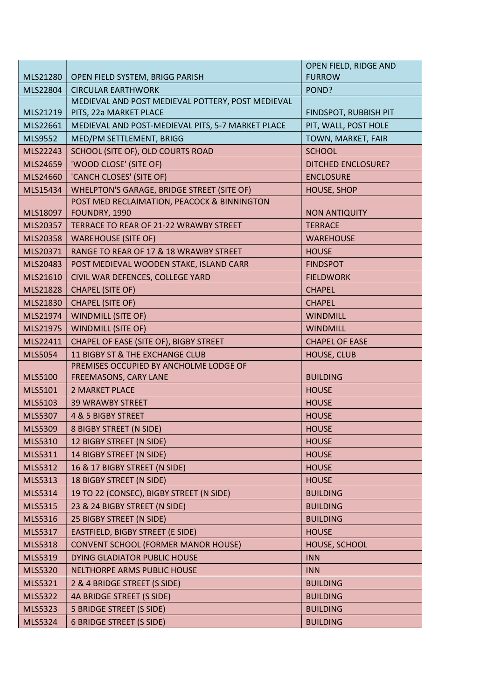|                |                                                   | OPEN FIELD, RIDGE AND     |
|----------------|---------------------------------------------------|---------------------------|
| MLS21280       | OPEN FIELD SYSTEM, BRIGG PARISH                   | <b>FURROW</b>             |
| MLS22804       | <b>CIRCULAR EARTHWORK</b>                         | POND?                     |
|                | MEDIEVAL AND POST MEDIEVAL POTTERY, POST MEDIEVAL |                           |
| MLS21219       | PITS, 22a MARKET PLACE                            | FINDSPOT, RUBBISH PIT     |
| MLS22661       | MEDIEVAL AND POST-MEDIEVAL PITS, 5-7 MARKET PLACE | PIT, WALL, POST HOLE      |
| MLS9552        | MED/PM SETTLEMENT, BRIGG                          | TOWN, MARKET, FAIR        |
| MLS22243       | SCHOOL (SITE OF), OLD COURTS ROAD                 | <b>SCHOOL</b>             |
| MLS24659       | 'WOOD CLOSE' (SITE OF)                            | <b>DITCHED ENCLOSURE?</b> |
| MLS24660       | 'CANCH CLOSES' (SITE OF)                          | <b>ENCLOSURE</b>          |
| MLS15434       | <b>WHELPTON'S GARAGE, BRIDGE STREET (SITE OF)</b> | <b>HOUSE, SHOP</b>        |
|                | POST MED RECLAIMATION, PEACOCK & BINNINGTON       |                           |
| MLS18097       | FOUNDRY, 1990                                     | <b>NON ANTIQUITY</b>      |
| MLS20357       | TERRACE TO REAR OF 21-22 WRAWBY STREET            | <b>TERRACE</b>            |
| MLS20358       | <b>WAREHOUSE (SITE OF)</b>                        | <b>WAREHOUSE</b>          |
| MLS20371       | RANGE TO REAR OF 17 & 18 WRAWBY STREET            | <b>HOUSE</b>              |
| MLS20483       | POST MEDIEVAL WOODEN STAKE, ISLAND CARR           | <b>FINDSPOT</b>           |
| MLS21610       | CIVIL WAR DEFENCES, COLLEGE YARD                  | <b>FIELDWORK</b>          |
| MLS21828       | <b>CHAPEL (SITE OF)</b>                           | <b>CHAPEL</b>             |
| MLS21830       | <b>CHAPEL (SITE OF)</b>                           | <b>CHAPEL</b>             |
| MLS21974       | <b>WINDMILL (SITE OF)</b>                         | <b>WINDMILL</b>           |
| MLS21975       | <b>WINDMILL (SITE OF)</b>                         | <b>WINDMILL</b>           |
| MLS22411       | CHAPEL OF EASE (SITE OF), BIGBY STREET            | <b>CHAPEL OF EASE</b>     |
| <b>MLS5054</b> | 11 BIGBY ST & THE EXCHANGE CLUB                   | <b>HOUSE, CLUB</b>        |
|                | PREMISES OCCUPIED BY ANCHOLME LODGE OF            |                           |
| <b>MLS5100</b> | FREEMASONS, CARY LANE                             | <b>BUILDING</b>           |
| MLS5101        | 2 MARKET PLACE                                    | <b>HOUSE</b>              |
| MLS5103        | <b>39 WRAWBY STREET</b>                           | <b>HOUSE</b>              |
| MLS5307        | 4 & 5 BIGBY STREET                                | <b>HOUSE</b>              |
| <b>MLS5309</b> | 8 BIGBY STREET (N SIDE)                           | <b>HOUSE</b>              |
| MLS5310        | 12 BIGBY STREET (N SIDE)                          | <b>HOUSE</b>              |
| MLS5311        | 14 BIGBY STREET (N SIDE)                          | <b>HOUSE</b>              |
| MLS5312        | 16 & 17 BIGBY STREET (N SIDE)                     | <b>HOUSE</b>              |
| MLS5313        | 18 BIGBY STREET (N SIDE)                          | <b>HOUSE</b>              |
| MLS5314        | 19 TO 22 (CONSEC), BIGBY STREET (N SIDE)          | <b>BUILDING</b>           |
| <b>MLS5315</b> | 23 & 24 BIGBY STREET (N SIDE)                     | <b>BUILDING</b>           |
| <b>MLS5316</b> | 25 BIGBY STREET (N SIDE)                          | <b>BUILDING</b>           |
| MLS5317        | EASTFIELD, BIGBY STREET (E SIDE)                  | <b>HOUSE</b>              |
| <b>MLS5318</b> | <b>CONVENT SCHOOL (FORMER MANOR HOUSE)</b>        | HOUSE, SCHOOL             |
| MLS5319        | DYING GLADIATOR PUBLIC HOUSE                      | <b>INN</b>                |
| <b>MLS5320</b> | NELTHORPE ARMS PUBLIC HOUSE                       | <b>INN</b>                |
| MLS5321        | 2 & 4 BRIDGE STREET (S SIDE)                      | <b>BUILDING</b>           |
| <b>MLS5322</b> | 4A BRIDGE STREET (S SIDE)                         | <b>BUILDING</b>           |
| MLS5323        | 5 BRIDGE STREET (S SIDE)                          | <b>BUILDING</b>           |
| MLS5324        | <b>6 BRIDGE STREET (S SIDE)</b>                   | <b>BUILDING</b>           |
|                |                                                   |                           |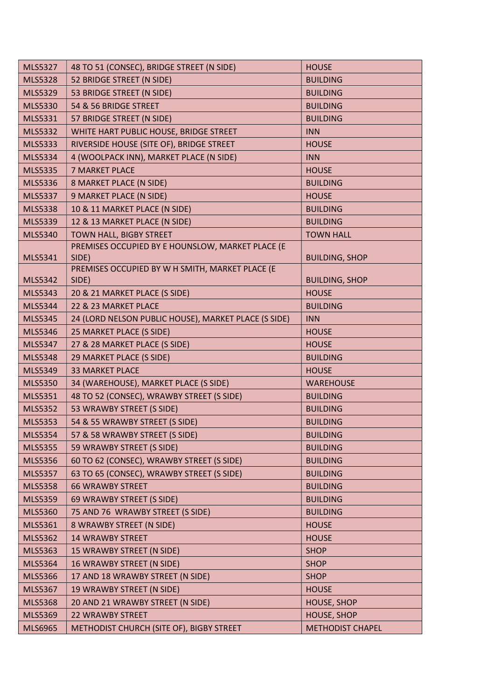| <b>MLS5327</b> | 48 TO 51 (CONSEC), BRIDGE STREET (N SIDE)            | <b>HOUSE</b>            |
|----------------|------------------------------------------------------|-------------------------|
| <b>MLS5328</b> | 52 BRIDGE STREET (N SIDE)                            | <b>BUILDING</b>         |
| <b>MLS5329</b> | 53 BRIDGE STREET (N SIDE)                            | <b>BUILDING</b>         |
| <b>MLS5330</b> | 54 & 56 BRIDGE STREET                                | <b>BUILDING</b>         |
| MLS5331        | 57 BRIDGE STREET (N SIDE)                            | <b>BUILDING</b>         |
| MLS5332        | WHITE HART PUBLIC HOUSE, BRIDGE STREET               | <b>INN</b>              |
| <b>MLS5333</b> | RIVERSIDE HOUSE (SITE OF), BRIDGE STREET             | <b>HOUSE</b>            |
| MLS5334        | 4 (WOOLPACK INN), MARKET PLACE (N SIDE)              | <b>INN</b>              |
| <b>MLS5335</b> | <b>7 MARKET PLACE</b>                                | <b>HOUSE</b>            |
| <b>MLS5336</b> | 8 MARKET PLACE (N SIDE)                              | <b>BUILDING</b>         |
| <b>MLS5337</b> | 9 MARKET PLACE (N SIDE)                              | <b>HOUSE</b>            |
| <b>MLS5338</b> | 10 & 11 MARKET PLACE (N SIDE)                        | <b>BUILDING</b>         |
| <b>MLS5339</b> | 12 & 13 MARKET PLACE (N SIDE)                        | <b>BUILDING</b>         |
| MLS5340        | <b>TOWN HALL, BIGBY STREET</b>                       | <b>TOWN HALL</b>        |
|                | PREMISES OCCUPIED BY E HOUNSLOW, MARKET PLACE (E     |                         |
| MLS5341        | SIDE)                                                | <b>BUILDING, SHOP</b>   |
|                | PREMISES OCCUPIED BY W H SMITH, MARKET PLACE (E      |                         |
| MLS5342        | SIDE)                                                | <b>BUILDING, SHOP</b>   |
| MLS5343        | 20 & 21 MARKET PLACE (S SIDE)                        | <b>HOUSE</b>            |
| MLS5344        | 22 & 23 MARKET PLACE                                 | <b>BUILDING</b>         |
| <b>MLS5345</b> | 24 (LORD NELSON PUBLIC HOUSE), MARKET PLACE (S SIDE) | <b>INN</b>              |
| MLS5346        | 25 MARKET PLACE (S SIDE)                             | <b>HOUSE</b>            |
| MLS5347        | 27 & 28 MARKET PLACE (S SIDE)                        | <b>HOUSE</b>            |
| <b>MLS5348</b> | 29 MARKET PLACE (S SIDE)                             | <b>BUILDING</b>         |
| MLS5349        | <b>33 MARKET PLACE</b>                               | <b>HOUSE</b>            |
| <b>MLS5350</b> | 34 (WAREHOUSE), MARKET PLACE (S SIDE)                | <b>WAREHOUSE</b>        |
| MLS5351        | 48 TO 52 (CONSEC), WRAWBY STREET (S SIDE)            | <b>BUILDING</b>         |
| <b>MLS5352</b> | 53 WRAWBY STREET (S SIDE)                            | <b>BUILDING</b>         |
| MLS5353        | 54 & 55 WRAWBY STREET (S SIDE)                       | <b>BUILDING</b>         |
| MLS5354        | 57 & 58 WRAWBY STREET (S SIDE)                       | <b>BUILDING</b>         |
| <b>MLS5355</b> | 59 WRAWBY STREET (S SIDE)                            | <b>BUILDING</b>         |
| <b>MLS5356</b> | 60 TO 62 (CONSEC), WRAWBY STREET (S SIDE)            | <b>BUILDING</b>         |
| <b>MLS5357</b> | 63 TO 65 (CONSEC), WRAWBY STREET (S SIDE)            | <b>BUILDING</b>         |
| <b>MLS5358</b> | <b>66 WRAWBY STREET</b>                              | <b>BUILDING</b>         |
| <b>MLS5359</b> | 69 WRAWBY STREET (S SIDE)                            | <b>BUILDING</b>         |
| <b>MLS5360</b> | 75 AND 76 WRAWBY STREET (S SIDE)                     | <b>BUILDING</b>         |
| MLS5361        | 8 WRAWBY STREET (N SIDE)                             | <b>HOUSE</b>            |
| <b>MLS5362</b> | <b>14 WRAWBY STREET</b>                              | <b>HOUSE</b>            |
| MLS5363        | 15 WRAWBY STREET (N SIDE)                            | <b>SHOP</b>             |
| MLS5364        | 16 WRAWBY STREET (N SIDE)                            | <b>SHOP</b>             |
| <b>MLS5366</b> | 17 AND 18 WRAWBY STREET (N SIDE)                     | <b>SHOP</b>             |
| MLS5367        | 19 WRAWBY STREET (N SIDE)                            | <b>HOUSE</b>            |
| <b>MLS5368</b> | 20 AND 21 WRAWBY STREET (N SIDE)                     | <b>HOUSE, SHOP</b>      |
| <b>MLS5369</b> | <b>22 WRAWBY STREET</b>                              | <b>HOUSE, SHOP</b>      |
| MLS6965        | METHODIST CHURCH (SITE OF), BIGBY STREET             | <b>METHODIST CHAPEL</b> |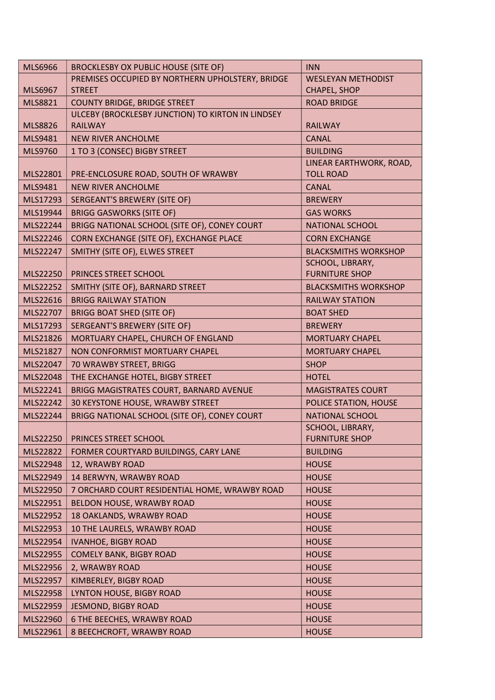| <b>MLS6966</b> | <b>BROCKLESBY OX PUBLIC HOUSE (SITE OF)</b>       | <b>INN</b>                  |
|----------------|---------------------------------------------------|-----------------------------|
|                | PREMISES OCCUPIED BY NORTHERN UPHOLSTERY, BRIDGE  | <b>WESLEYAN METHODIST</b>   |
| <b>MLS6967</b> | <b>STREET</b>                                     | CHAPEL, SHOP                |
| MLS8821        | <b>COUNTY BRIDGE, BRIDGE STREET</b>               | <b>ROAD BRIDGE</b>          |
|                | ULCEBY (BROCKLESBY JUNCTION) TO KIRTON IN LINDSEY |                             |
| <b>MLS8826</b> | <b>RAILWAY</b>                                    | <b>RAILWAY</b>              |
| MLS9481        | <b>NEW RIVER ANCHOLME</b>                         | <b>CANAL</b>                |
| MLS9760        | 1 TO 3 (CONSEC) BIGBY STREET                      | <b>BUILDING</b>             |
|                |                                                   | LINEAR EARTHWORK, ROAD,     |
| MLS22801       | PRE-ENCLOSURE ROAD, SOUTH OF WRAWBY               | <b>TOLL ROAD</b>            |
| MLS9481        | <b>NEW RIVER ANCHOLME</b>                         | <b>CANAL</b>                |
| MLS17293       | SERGEANT'S BREWERY (SITE OF)                      | <b>BREWERY</b>              |
| MLS19944       | <b>BRIGG GASWORKS (SITE OF)</b>                   | <b>GAS WORKS</b>            |
| MLS22244       | BRIGG NATIONAL SCHOOL (SITE OF), CONEY COURT      | <b>NATIONAL SCHOOL</b>      |
| MLS22246       | CORN EXCHANGE (SITE OF), EXCHANGE PLACE           | <b>CORN EXCHANGE</b>        |
| MLS22247       | SMITHY (SITE OF), ELWES STREET                    | <b>BLACKSMITHS WORKSHOP</b> |
|                |                                                   | SCHOOL, LIBRARY,            |
| MLS22250       | PRINCES STREET SCHOOL                             | <b>FURNITURE SHOP</b>       |
| MLS22252       | SMITHY (SITE OF), BARNARD STREET                  | <b>BLACKSMITHS WORKSHOP</b> |
| MLS22616       | <b>BRIGG RAILWAY STATION</b>                      | <b>RAILWAY STATION</b>      |
| MLS22707       | <b>BRIGG BOAT SHED (SITE OF)</b>                  | <b>BOAT SHED</b>            |
| MLS17293       | <b>SERGEANT'S BREWERY (SITE OF)</b>               | <b>BREWERY</b>              |
| MLS21826       | MORTUARY CHAPEL, CHURCH OF ENGLAND                | <b>MORTUARY CHAPEL</b>      |
| MLS21827       | NON CONFORMIST MORTUARY CHAPEL                    | <b>MORTUARY CHAPEL</b>      |
| MLS22047       | 70 WRAWBY STREET, BRIGG                           | <b>SHOP</b>                 |
| MLS22048       | THE EXCHANGE HOTEL, BIGBY STREET                  | <b>HOTEL</b>                |
| MLS22241       | BRIGG MAGISTRATES COURT, BARNARD AVENUE           | <b>MAGISTRATES COURT</b>    |
| MLS22242       | 30 KEYSTONE HOUSE, WRAWBY STREET                  | POLICE STATION, HOUSE       |
| MLS22244       | BRIGG NATIONAL SCHOOL (SITE OF), CONEY COURT      | <b>NATIONAL SCHOOL</b>      |
|                |                                                   | SCHOOL, LIBRARY,            |
| MLS22250       | PRINCES STREET SCHOOL                             | <b>FURNITURE SHOP</b>       |
| MLS22822       | FORMER COURTYARD BUILDINGS, CARY LANE             | <b>BUILDING</b>             |
| MLS22948       | 12, WRAWBY ROAD                                   | <b>HOUSE</b>                |
| MLS22949       | 14 BERWYN, WRAWBY ROAD                            | <b>HOUSE</b>                |
| MLS22950       | 7 ORCHARD COURT RESIDENTIAL HOME, WRAWBY ROAD     | <b>HOUSE</b>                |
| MLS22951       | BELDON HOUSE, WRAWBY ROAD                         | <b>HOUSE</b>                |
| MLS22952       | 18 OAKLANDS, WRAWBY ROAD                          | <b>HOUSE</b>                |
| MLS22953       | 10 THE LAURELS, WRAWBY ROAD                       | <b>HOUSE</b>                |
| MLS22954       | <b>IVANHOE, BIGBY ROAD</b>                        | <b>HOUSE</b>                |
| MLS22955       | <b>COMELY BANK, BIGBY ROAD</b>                    | <b>HOUSE</b>                |
| MLS22956       | 2, WRAWBY ROAD                                    | <b>HOUSE</b>                |
| MLS22957       | KIMBERLEY, BIGBY ROAD                             | <b>HOUSE</b>                |
| MLS22958       | LYNTON HOUSE, BIGBY ROAD                          | <b>HOUSE</b>                |
| MLS22959       | <b>JESMOND, BIGBY ROAD</b>                        | <b>HOUSE</b>                |
| MLS22960       | 6 THE BEECHES, WRAWBY ROAD                        | <b>HOUSE</b>                |
| MLS22961       | 8 BEECHCROFT, WRAWBY ROAD                         | <b>HOUSE</b>                |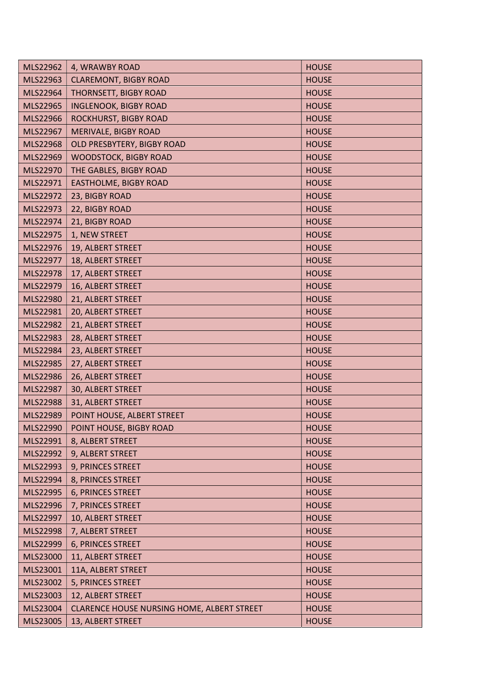| MLS22962 | 4, WRAWBY ROAD                             | <b>HOUSE</b> |
|----------|--------------------------------------------|--------------|
| MLS22963 | <b>CLAREMONT, BIGBY ROAD</b>               | <b>HOUSE</b> |
| MLS22964 | THORNSETT, BIGBY ROAD                      | <b>HOUSE</b> |
| MLS22965 | <b>INGLENOOK, BIGBY ROAD</b>               | <b>HOUSE</b> |
| MLS22966 | ROCKHURST, BIGBY ROAD                      | <b>HOUSE</b> |
| MLS22967 | MERIVALE, BIGBY ROAD                       | <b>HOUSE</b> |
| MLS22968 | OLD PRESBYTERY, BIGBY ROAD                 | <b>HOUSE</b> |
| MLS22969 | <b>WOODSTOCK, BIGBY ROAD</b>               | <b>HOUSE</b> |
| MLS22970 | THE GABLES, BIGBY ROAD                     | <b>HOUSE</b> |
| MLS22971 | <b>EASTHOLME, BIGBY ROAD</b>               | <b>HOUSE</b> |
| MLS22972 | 23, BIGBY ROAD                             | <b>HOUSE</b> |
| MLS22973 | 22, BIGBY ROAD                             | <b>HOUSE</b> |
| MLS22974 | 21, BIGBY ROAD                             | <b>HOUSE</b> |
| MLS22975 | 1, NEW STREET                              | <b>HOUSE</b> |
| MLS22976 | 19, ALBERT STREET                          | <b>HOUSE</b> |
| MLS22977 | 18, ALBERT STREET                          | <b>HOUSE</b> |
| MLS22978 | 17, ALBERT STREET                          | <b>HOUSE</b> |
| MLS22979 | 16, ALBERT STREET                          | <b>HOUSE</b> |
| MLS22980 | 21, ALBERT STREET                          | <b>HOUSE</b> |
| MLS22981 | 20, ALBERT STREET                          | <b>HOUSE</b> |
| MLS22982 | 21, ALBERT STREET                          | <b>HOUSE</b> |
| MLS22983 | 28, ALBERT STREET                          | <b>HOUSE</b> |
| MLS22984 | 23, ALBERT STREET                          | <b>HOUSE</b> |
| MLS22985 | 27, ALBERT STREET                          | <b>HOUSE</b> |
| MLS22986 | 26, ALBERT STREET                          | <b>HOUSE</b> |
| MLS22987 | 30, ALBERT STREET                          | <b>HOUSE</b> |
| MLS22988 | 31, ALBERT STREET                          | <b>HOUSE</b> |
| MLS22989 | POINT HOUSE, ALBERT STREET                 | <b>HOUSE</b> |
| MLS22990 | POINT HOUSE, BIGBY ROAD                    | <b>HOUSE</b> |
| MLS22991 | 8, ALBERT STREET                           | <b>HOUSE</b> |
| MLS22992 | 9, ALBERT STREET                           | <b>HOUSE</b> |
| MLS22993 | 9, PRINCES STREET                          | <b>HOUSE</b> |
| MLS22994 | 8, PRINCES STREET                          | <b>HOUSE</b> |
| MLS22995 | 6, PRINCES STREET                          | <b>HOUSE</b> |
| MLS22996 | 7, PRINCES STREET                          | <b>HOUSE</b> |
| MLS22997 | 10, ALBERT STREET                          | <b>HOUSE</b> |
| MLS22998 | 7, ALBERT STREET                           | <b>HOUSE</b> |
| MLS22999 | 6, PRINCES STREET                          | <b>HOUSE</b> |
| MLS23000 | 11, ALBERT STREET                          | <b>HOUSE</b> |
| MLS23001 | 11A, ALBERT STREET                         | <b>HOUSE</b> |
| MLS23002 | 5, PRINCES STREET                          | <b>HOUSE</b> |
| MLS23003 | 12, ALBERT STREET                          | <b>HOUSE</b> |
| MLS23004 | CLARENCE HOUSE NURSING HOME, ALBERT STREET | <b>HOUSE</b> |
| MLS23005 | 13, ALBERT STREET                          | <b>HOUSE</b> |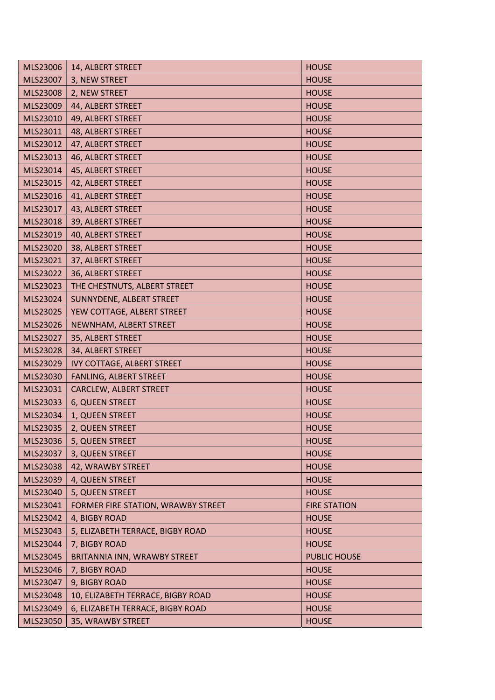| MLS23006 | 14, ALBERT STREET                  | <b>HOUSE</b>        |
|----------|------------------------------------|---------------------|
| MLS23007 | 3, NEW STREET                      | <b>HOUSE</b>        |
| MLS23008 | 2, NEW STREET                      | <b>HOUSE</b>        |
| MLS23009 | 44, ALBERT STREET                  | <b>HOUSE</b>        |
| MLS23010 | 49, ALBERT STREET                  | <b>HOUSE</b>        |
| MLS23011 | 48, ALBERT STREET                  | <b>HOUSE</b>        |
| MLS23012 | 47, ALBERT STREET                  | <b>HOUSE</b>        |
| MLS23013 | 46, ALBERT STREET                  | <b>HOUSE</b>        |
| MLS23014 | 45, ALBERT STREET                  | <b>HOUSE</b>        |
| MLS23015 | 42, ALBERT STREET                  | <b>HOUSE</b>        |
| MLS23016 | 41, ALBERT STREET                  | <b>HOUSE</b>        |
| MLS23017 | 43, ALBERT STREET                  | <b>HOUSE</b>        |
| MLS23018 | 39, ALBERT STREET                  | <b>HOUSE</b>        |
| MLS23019 | 40, ALBERT STREET                  | <b>HOUSE</b>        |
| MLS23020 | 38, ALBERT STREET                  | <b>HOUSE</b>        |
| MLS23021 | 37, ALBERT STREET                  | <b>HOUSE</b>        |
| MLS23022 | 36, ALBERT STREET                  | <b>HOUSE</b>        |
| MLS23023 | THE CHESTNUTS, ALBERT STREET       | <b>HOUSE</b>        |
| MLS23024 | SUNNYDENE, ALBERT STREET           | <b>HOUSE</b>        |
| MLS23025 | YEW COTTAGE, ALBERT STREET         | <b>HOUSE</b>        |
| MLS23026 | NEWNHAM, ALBERT STREET             | <b>HOUSE</b>        |
| MLS23027 | 35, ALBERT STREET                  | <b>HOUSE</b>        |
| MLS23028 | 34, ALBERT STREET                  | <b>HOUSE</b>        |
| MLS23029 | <b>IVY COTTAGE, ALBERT STREET</b>  | <b>HOUSE</b>        |
| MLS23030 | FANLING, ALBERT STREET             | <b>HOUSE</b>        |
| MLS23031 | CARCLEW, ALBERT STREET             | <b>HOUSE</b>        |
| MLS23033 | 6, QUEEN STREET                    | <b>HOUSE</b>        |
| MLS23034 | 1, QUEEN STREET                    | <b>HOUSE</b>        |
| MLS23035 | 2, QUEEN STREET                    | <b>HOUSE</b>        |
| MLS23036 | 5, QUEEN STREET                    | <b>HOUSE</b>        |
| MLS23037 | 3, QUEEN STREET                    | <b>HOUSE</b>        |
| MLS23038 | 42, WRAWBY STREET                  | <b>HOUSE</b>        |
| MLS23039 | 4, QUEEN STREET                    | <b>HOUSE</b>        |
| MLS23040 | 5, QUEEN STREET                    | <b>HOUSE</b>        |
| MLS23041 | FORMER FIRE STATION, WRAWBY STREET | <b>FIRE STATION</b> |
| MLS23042 | 4, BIGBY ROAD                      | <b>HOUSE</b>        |
| MLS23043 | 5, ELIZABETH TERRACE, BIGBY ROAD   | <b>HOUSE</b>        |
| MLS23044 | 7, BIGBY ROAD                      | <b>HOUSE</b>        |
| MLS23045 | BRITANNIA INN, WRAWBY STREET       | <b>PUBLIC HOUSE</b> |
| MLS23046 | 7, BIGBY ROAD                      | <b>HOUSE</b>        |
| MLS23047 | 9, BIGBY ROAD                      | <b>HOUSE</b>        |
| MLS23048 | 10, ELIZABETH TERRACE, BIGBY ROAD  | <b>HOUSE</b>        |
| MLS23049 | 6, ELIZABETH TERRACE, BIGBY ROAD   | <b>HOUSE</b>        |
| MLS23050 | 35, WRAWBY STREET                  | <b>HOUSE</b>        |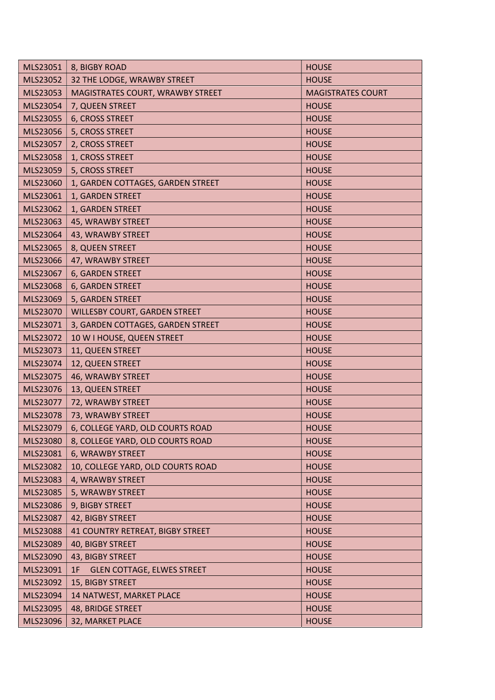| MLS23051 | 8, BIGBY ROAD                           | <b>HOUSE</b>             |
|----------|-----------------------------------------|--------------------------|
| MLS23052 | 32 THE LODGE, WRAWBY STREET             | <b>HOUSE</b>             |
| MLS23053 | MAGISTRATES COURT, WRAWBY STREET        | <b>MAGISTRATES COURT</b> |
| MLS23054 | 7, QUEEN STREET                         | <b>HOUSE</b>             |
| MLS23055 | 6, CROSS STREET                         | <b>HOUSE</b>             |
| MLS23056 | 5, CROSS STREET                         | <b>HOUSE</b>             |
| MLS23057 | 2, CROSS STREET                         | <b>HOUSE</b>             |
| MLS23058 | 1, CROSS STREET                         | <b>HOUSE</b>             |
| MLS23059 | 5, CROSS STREET                         | <b>HOUSE</b>             |
| MLS23060 | 1, GARDEN COTTAGES, GARDEN STREET       | <b>HOUSE</b>             |
| MLS23061 | 1, GARDEN STREET                        | <b>HOUSE</b>             |
| MLS23062 | 1, GARDEN STREET                        | <b>HOUSE</b>             |
| MLS23063 | 45, WRAWBY STREET                       | <b>HOUSE</b>             |
| MLS23064 | 43, WRAWBY STREET                       | <b>HOUSE</b>             |
| MLS23065 | 8, QUEEN STREET                         | <b>HOUSE</b>             |
| MLS23066 | 47, WRAWBY STREET                       | <b>HOUSE</b>             |
| MLS23067 | 6, GARDEN STREET                        | <b>HOUSE</b>             |
| MLS23068 | 6, GARDEN STREET                        | <b>HOUSE</b>             |
| MLS23069 | 5, GARDEN STREET                        | <b>HOUSE</b>             |
| MLS23070 | <b>WILLESBY COURT, GARDEN STREET</b>    | <b>HOUSE</b>             |
| MLS23071 | 3, GARDEN COTTAGES, GARDEN STREET       | <b>HOUSE</b>             |
| MLS23072 | 10 W I HOUSE, QUEEN STREET              | <b>HOUSE</b>             |
| MLS23073 | 11, QUEEN STREET                        | <b>HOUSE</b>             |
| MLS23074 | 12, QUEEN STREET                        | <b>HOUSE</b>             |
| MLS23075 | 46, WRAWBY STREET                       | <b>HOUSE</b>             |
| MLS23076 | 13, QUEEN STREET                        | <b>HOUSE</b>             |
| MLS23077 | 72, WRAWBY STREET                       | <b>HOUSE</b>             |
| MLS23078 | 73, WRAWBY STREET                       | <b>HOUSE</b>             |
| MLS23079 | 6, COLLEGE YARD, OLD COURTS ROAD        | <b>HOUSE</b>             |
| MLS23080 | 8, COLLEGE YARD, OLD COURTS ROAD        | <b>HOUSE</b>             |
| MLS23081 | 6, WRAWBY STREET                        | <b>HOUSE</b>             |
| MLS23082 | 10, COLLEGE YARD, OLD COURTS ROAD       | <b>HOUSE</b>             |
| MLS23083 | 4, WRAWBY STREET                        | <b>HOUSE</b>             |
| MLS23085 | 5, WRAWBY STREET                        | <b>HOUSE</b>             |
| MLS23086 | 9, BIGBY STREET                         | <b>HOUSE</b>             |
| MLS23087 | 42, BIGBY STREET                        | <b>HOUSE</b>             |
| MLS23088 | <b>41 COUNTRY RETREAT, BIGBY STREET</b> | <b>HOUSE</b>             |
| MLS23089 | 40, BIGBY STREET                        | <b>HOUSE</b>             |
| MLS23090 | 43, BIGBY STREET                        | <b>HOUSE</b>             |
| MLS23091 | <b>GLEN COTTAGE, ELWES STREET</b><br>1F | <b>HOUSE</b>             |
| MLS23092 | 15, BIGBY STREET                        | <b>HOUSE</b>             |
| MLS23094 | 14 NATWEST, MARKET PLACE                | <b>HOUSE</b>             |
| MLS23095 | 48, BRIDGE STREET                       | <b>HOUSE</b>             |
| MLS23096 | 32, MARKET PLACE                        | <b>HOUSE</b>             |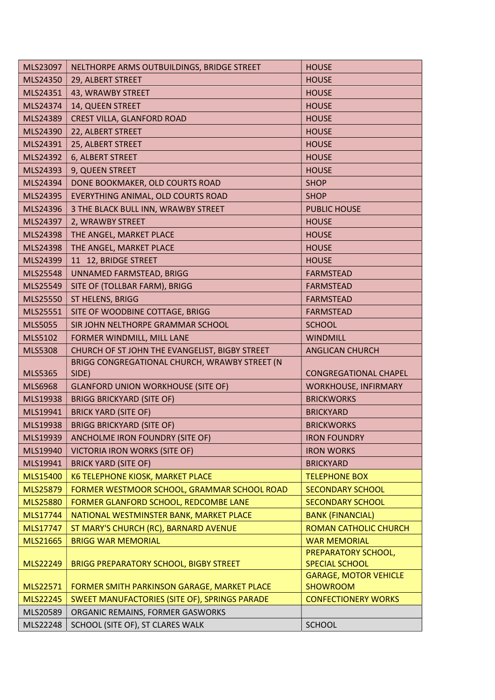| MLS23097       | NELTHORPE ARMS OUTBUILDINGS, BRIDGE STREET     | <b>HOUSE</b>                                    |
|----------------|------------------------------------------------|-------------------------------------------------|
| MLS24350       | 29, ALBERT STREET                              | <b>HOUSE</b>                                    |
| MLS24351       | 43, WRAWBY STREET                              | <b>HOUSE</b>                                    |
| MLS24374       | 14, QUEEN STREET                               | <b>HOUSE</b>                                    |
| MLS24389       | CREST VILLA, GLANFORD ROAD                     | <b>HOUSE</b>                                    |
| MLS24390       | 22, ALBERT STREET                              | <b>HOUSE</b>                                    |
| MLS24391       | 25, ALBERT STREET                              | <b>HOUSE</b>                                    |
| MLS24392       | 6, ALBERT STREET                               | <b>HOUSE</b>                                    |
| MLS24393       | 9, QUEEN STREET                                | <b>HOUSE</b>                                    |
| MLS24394       | DONE BOOKMAKER, OLD COURTS ROAD                | <b>SHOP</b>                                     |
| MLS24395       | EVERYTHING ANIMAL, OLD COURTS ROAD             | <b>SHOP</b>                                     |
| MLS24396       | 3 THE BLACK BULL INN, WRAWBY STREET            | <b>PUBLIC HOUSE</b>                             |
| MLS24397       | 2, WRAWBY STREET                               | <b>HOUSE</b>                                    |
| MLS24398       | THE ANGEL, MARKET PLACE                        | <b>HOUSE</b>                                    |
| MLS24398       | THE ANGEL, MARKET PLACE                        | <b>HOUSE</b>                                    |
| MLS24399       | 11 12, BRIDGE STREET                           | <b>HOUSE</b>                                    |
| MLS25548       | UNNAMED FARMSTEAD, BRIGG                       | <b>FARMSTEAD</b>                                |
| MLS25549       | SITE OF (TOLLBAR FARM), BRIGG                  | <b>FARMSTEAD</b>                                |
| MLS25550       | ST HELENS, BRIGG                               | <b>FARMSTEAD</b>                                |
| MLS25551       | SITE OF WOODBINE COTTAGE, BRIGG                | <b>FARMSTEAD</b>                                |
| <b>MLS5055</b> | SIR JOHN NELTHORPE GRAMMAR SCHOOL              | <b>SCHOOL</b>                                   |
| MLS5102        | FORMER WINDMILL, MILL LANE                     | <b>WINDMILL</b>                                 |
| <b>MLS5308</b> | CHURCH OF ST JOHN THE EVANGELIST, BIGBY STREET | <b>ANGLICAN CHURCH</b>                          |
|                | BRIGG CONGREGATIONAL CHURCH, WRAWBY STREET (N  |                                                 |
| <b>MLS5365</b> | SIDE)                                          | <b>CONGREGATIONAL CHAPEL</b>                    |
| <b>MLS6968</b> | <b>GLANFORD UNION WORKHOUSE (SITE OF)</b>      | <b>WORKHOUSE, INFIRMARY</b>                     |
| MLS19938       | <b>BRIGG BRICKYARD (SITE OF)</b>               | <b>BRICKWORKS</b>                               |
| MLS19941       | <b>BRICK YARD (SITE OF)</b>                    | <b>BRICKYARD</b>                                |
| MLS19938       | <b>BRIGG BRICKYARD (SITE OF)</b>               | <b>BRICKWORKS</b>                               |
| MLS19939       | ANCHOLME IRON FOUNDRY (SITE OF)                | <b>IRON FOUNDRY</b>                             |
| MLS19940       | <b>VICTORIA IRON WORKS (SITE OF)</b>           | <b>IRON WORKS</b>                               |
| MLS19941       |                                                |                                                 |
| MLS15400       | <b>BRICK YARD (SITE OF)</b>                    | <b>BRICKYARD</b>                                |
|                | K6 TELEPHONE KIOSK, MARKET PLACE               | <b>TELEPHONE BOX</b>                            |
| MLS25879       | FORMER WESTMOOR SCHOOL, GRAMMAR SCHOOL ROAD    | <b>SECONDARY SCHOOL</b>                         |
| MLS25880       | FORMER GLANFORD SCHOOL, REDCOMBE LANE          | <b>SECONDARY SCHOOL</b>                         |
| MLS17744       | NATIONAL WESTMINSTER BANK, MARKET PLACE        | <b>BANK (FINANCIAL)</b>                         |
| MLS17747       | ST MARY'S CHURCH (RC), BARNARD AVENUE          | <b>ROMAN CATHOLIC CHURCH</b>                    |
| MLS21665       | <b>BRIGG WAR MEMORIAL</b>                      | <b>WAR MEMORIAL</b>                             |
|                |                                                | PREPARATORY SCHOOL,                             |
| MLS22249       | <b>BRIGG PREPARATORY SCHOOL, BIGBY STREET</b>  | <b>SPECIAL SCHOOL</b>                           |
| MLS22571       | FORMER SMITH PARKINSON GARAGE, MARKET PLACE    | <b>GARAGE, MOTOR VEHICLE</b><br><b>SHOWROOM</b> |
| MLS22245       | SWEET MANUFACTORIES (SITE OF), SPRINGS PARADE  | <b>CONFECTIONERY WORKS</b>                      |
| MLS20589       | ORGANIC REMAINS, FORMER GASWORKS               |                                                 |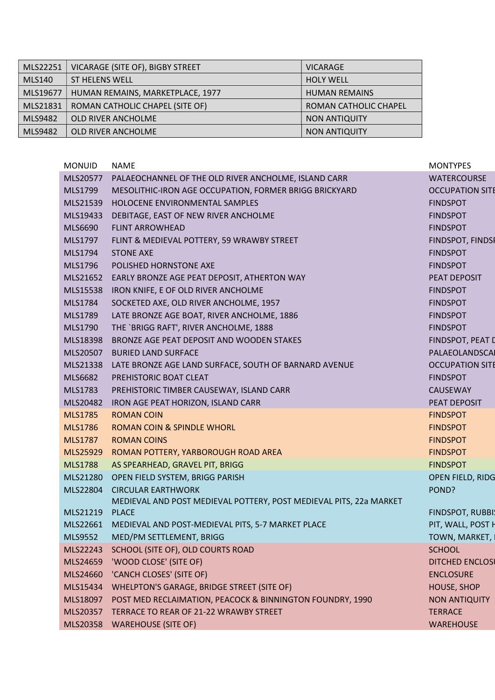| MLS22251      | VICARAGE (SITE OF), BIGBY STREET | <b>VICARAGE</b>       |
|---------------|----------------------------------|-----------------------|
| <b>MLS140</b> | ST HELENS WELL                   | <b>HOLY WELL</b>      |
| MLS19677      | HUMAN REMAINS, MARKETPLACE, 1977 | <b>HUMAN REMAINS</b>  |
| MLS21831      | ROMAN CATHOLIC CHAPEL (SITE OF)  | ROMAN CATHOLIC CHAPEL |
| MLS9482       | <b>OLD RIVER ANCHOLME</b>        | <b>NON ANTIQUITY</b>  |
| MLS9482       | OLD RIVER ANCHOLME               | <b>NON ANTIQUITY</b>  |

| <b>MONUID</b>  | <b>NAME</b>                                                        | <b>MONTYPES</b>        |
|----------------|--------------------------------------------------------------------|------------------------|
| MLS20577       | PALAEOCHANNEL OF THE OLD RIVER ANCHOLME, ISLAND CARR               | <b>WATERCOURSE</b>     |
| MLS1799        | MESOLITHIC-IRON AGE OCCUPATION, FORMER BRIGG BRICKYARD             | <b>OCCUPATION SITE</b> |
| MLS21539       | HOLOCENE ENVIRONMENTAL SAMPLES                                     | <b>FINDSPOT</b>        |
| MLS19433       | DEBITAGE, EAST OF NEW RIVER ANCHOLME                               | <b>FINDSPOT</b>        |
| MLS6690        | <b>FLINT ARROWHEAD</b>                                             | <b>FINDSPOT</b>        |
| MLS1797        | FLINT & MEDIEVAL POTTERY, 59 WRAWBY STREET                         | FINDSPOT, FINDSP       |
| MLS1794        | <b>STONE AXE</b>                                                   | <b>FINDSPOT</b>        |
| MLS1796        | POLISHED HORNSTONE AXE                                             | <b>FINDSPOT</b>        |
| MLS21652       | EARLY BRONZE AGE PEAT DEPOSIT, ATHERTON WAY                        | PEAT DEPOSIT           |
| MLS15538       | IRON KNIFE, E OF OLD RIVER ANCHOLME                                | <b>FINDSPOT</b>        |
| MLS1784        | SOCKETED AXE, OLD RIVER ANCHOLME, 1957                             | <b>FINDSPOT</b>        |
| MLS1789        | LATE BRONZE AGE BOAT, RIVER ANCHOLME, 1886                         | <b>FINDSPOT</b>        |
| MLS1790        | THE `BRIGG RAFT', RIVER ANCHOLME, 1888                             | <b>FINDSPOT</b>        |
| MLS18398       | BRONZE AGE PEAT DEPOSIT AND WOODEN STAKES                          | FINDSPOT, PEAT D       |
| MLS20507       | <b>BURIED LAND SURFACE</b>                                         | PALAEOLANDSCAI         |
| MLS21338       | LATE BRONZE AGE LAND SURFACE, SOUTH OF BARNARD AVENUE              | <b>OCCUPATION SITE</b> |
| MLS6682        | PREHISTORIC BOAT CLEAT                                             | <b>FINDSPOT</b>        |
| MLS1783        | PREHISTORIC TIMBER CAUSEWAY, ISLAND CARR                           | CAUSEWAY               |
| MLS20482       | IRON AGE PEAT HORIZON, ISLAND CARR                                 | PEAT DEPOSIT           |
| <b>MLS1785</b> | <b>ROMAN COIN</b>                                                  | <b>FINDSPOT</b>        |
| <b>MLS1786</b> | <b>ROMAN COIN &amp; SPINDLE WHORL</b>                              | <b>FINDSPOT</b>        |
| <b>MLS1787</b> | <b>ROMAN COINS</b>                                                 | <b>FINDSPOT</b>        |
| MLS25929       | ROMAN POTTERY, YARBOROUGH ROAD AREA                                | <b>FINDSPOT</b>        |
| <b>MLS1788</b> | AS SPEARHEAD, GRAVEL PIT, BRIGG                                    | <b>FINDSPOT</b>        |
| MLS21280       | OPEN FIELD SYSTEM, BRIGG PARISH                                    | OPEN FIELD, RIDG       |
| MLS22804       | <b>CIRCULAR EARTHWORK</b>                                          | POND?                  |
|                | MEDIEVAL AND POST MEDIEVAL POTTERY, POST MEDIEVAL PITS, 22a MARKET |                        |
| MLS21219       | <b>PLACE</b>                                                       | FINDSPOT, RUBBI!       |
|                | MLS22661 MEDIEVAL AND POST-MEDIEVAL PITS, 5-7 MARKET PLACE         | PIT, WALL, POST H      |
| MLS9552        | MED/PM SETTLEMENT, BRIGG                                           | TOWN, MARKET,          |
| MLS22243       | SCHOOL (SITE OF), OLD COURTS ROAD                                  | <b>SCHOOL</b>          |
| MLS24659       | 'WOOD CLOSE' (SITE OF)                                             | <b>DITCHED ENCLOSE</b> |
| MLS24660       | 'CANCH CLOSES' (SITE OF)                                           | <b>ENCLOSURE</b>       |
| MLS15434       | WHELPTON'S GARAGE, BRIDGE STREET (SITE OF)                         | <b>HOUSE, SHOP</b>     |
| MLS18097       | POST MED RECLAIMATION, PEACOCK & BINNINGTON FOUNDRY, 1990          | <b>NON ANTIQUITY</b>   |
| MLS20357       | TERRACE TO REAR OF 21-22 WRAWBY STREET                             | <b>TERRACE</b>         |
| MLS20358       | <b>WAREHOUSE (SITE OF)</b>                                         | <b>WAREHOUSE</b>       |
|                |                                                                    |                        |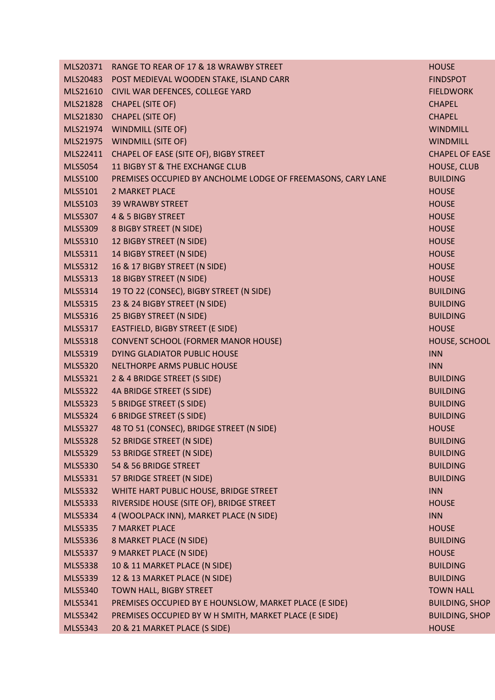| MLS20371       | RANGE TO REAR OF 17 & 18 WRAWBY STREET                       | <b>HOUSE</b>          |
|----------------|--------------------------------------------------------------|-----------------------|
| MLS20483       | POST MEDIEVAL WOODEN STAKE, ISLAND CARR                      | <b>FINDSPOT</b>       |
| MLS21610       | CIVIL WAR DEFENCES, COLLEGE YARD                             | <b>FIELDWORK</b>      |
| MLS21828       | <b>CHAPEL (SITE OF)</b>                                      | <b>CHAPEL</b>         |
| MLS21830       | <b>CHAPEL (SITE OF)</b>                                      | <b>CHAPEL</b>         |
| MLS21974       | <b>WINDMILL (SITE OF)</b>                                    | <b>WINDMILL</b>       |
| MLS21975       | <b>WINDMILL (SITE OF)</b>                                    | <b>WINDMILL</b>       |
| MLS22411       | CHAPEL OF EASE (SITE OF), BIGBY STREET                       | <b>CHAPEL OF EASE</b> |
| MLS5054        | 11 BIGBY ST & THE EXCHANGE CLUB                              | <b>HOUSE, CLUB</b>    |
| <b>MLS5100</b> | PREMISES OCCUPIED BY ANCHOLME LODGE OF FREEMASONS, CARY LANE | <b>BUILDING</b>       |
| MLS5101        | <b>2 MARKET PLACE</b>                                        | <b>HOUSE</b>          |
| MLS5103        | <b>39 WRAWBY STREET</b>                                      | <b>HOUSE</b>          |
| MLS5307        | 4 & 5 BIGBY STREET                                           | <b>HOUSE</b>          |
| MLS5309        | 8 BIGBY STREET (N SIDE)                                      | <b>HOUSE</b>          |
| MLS5310        | 12 BIGBY STREET (N SIDE)                                     | <b>HOUSE</b>          |
| MLS5311        | 14 BIGBY STREET (N SIDE)                                     | <b>HOUSE</b>          |
| MLS5312        | 16 & 17 BIGBY STREET (N SIDE)                                | <b>HOUSE</b>          |
| MLS5313        | 18 BIGBY STREET (N SIDE)                                     | <b>HOUSE</b>          |
| MLS5314        | 19 TO 22 (CONSEC), BIGBY STREET (N SIDE)                     | <b>BUILDING</b>       |
| MLS5315        | 23 & 24 BIGBY STREET (N SIDE)                                | <b>BUILDING</b>       |
| MLS5316        | 25 BIGBY STREET (N SIDE)                                     | <b>BUILDING</b>       |
| MLS5317        | EASTFIELD, BIGBY STREET (E SIDE)                             | <b>HOUSE</b>          |
| <b>MLS5318</b> | <b>CONVENT SCHOOL (FORMER MANOR HOUSE)</b>                   | HOUSE, SCHOOL         |
| MLS5319        | DYING GLADIATOR PUBLIC HOUSE                                 | <b>INN</b>            |
| <b>MLS5320</b> | NELTHORPE ARMS PUBLIC HOUSE                                  | <b>INN</b>            |
| MLS5321        | 2 & 4 BRIDGE STREET (S SIDE)                                 | <b>BUILDING</b>       |
| MLS5322        | 4A BRIDGE STREET (S SIDE)                                    | <b>BUILDING</b>       |
| MLS5323        | 5 BRIDGE STREET (S SIDE)                                     | <b>BUILDING</b>       |
| <b>MLS5324</b> | <b>6 BRIDGE STREET (S SIDE)</b>                              | <b>BUILDING</b>       |
| MLS5327        | 48 TO 51 (CONSEC), BRIDGE STREET (N SIDE)                    | <b>HOUSE</b>          |
| <b>MLS5328</b> | 52 BRIDGE STREET (N SIDE)                                    | <b>BUILDING</b>       |
| MLS5329        | 53 BRIDGE STREET (N SIDE)                                    | <b>BUILDING</b>       |
| MLS5330        | 54 & 56 BRIDGE STREET                                        | <b>BUILDING</b>       |
| MLS5331        | 57 BRIDGE STREET (N SIDE)                                    | <b>BUILDING</b>       |
| MLS5332        | WHITE HART PUBLIC HOUSE, BRIDGE STREET                       | <b>INN</b>            |
| MLS5333        | RIVERSIDE HOUSE (SITE OF), BRIDGE STREET                     | <b>HOUSE</b>          |
| MLS5334        | 4 (WOOLPACK INN), MARKET PLACE (N SIDE)                      | <b>INN</b>            |
| <b>MLS5335</b> | <b>7 MARKET PLACE</b>                                        | <b>HOUSE</b>          |
| MLS5336        | 8 MARKET PLACE (N SIDE)                                      | <b>BUILDING</b>       |
| <b>MLS5337</b> | 9 MARKET PLACE (N SIDE)                                      | <b>HOUSE</b>          |
| <b>MLS5338</b> | 10 & 11 MARKET PLACE (N SIDE)                                | <b>BUILDING</b>       |
| MLS5339        | 12 & 13 MARKET PLACE (N SIDE)                                | <b>BUILDING</b>       |
| MLS5340        | TOWN HALL, BIGBY STREET                                      | <b>TOWN HALL</b>      |
| MLS5341        | PREMISES OCCUPIED BY E HOUNSLOW, MARKET PLACE (E SIDE)       | <b>BUILDING, SHOP</b> |
| MLS5342        | PREMISES OCCUPIED BY W H SMITH, MARKET PLACE (E SIDE)        | <b>BUILDING, SHOP</b> |
| <b>MLS5343</b> | 20 & 21 MARKET PLACE (S SIDE)                                | <b>HOUSE</b>          |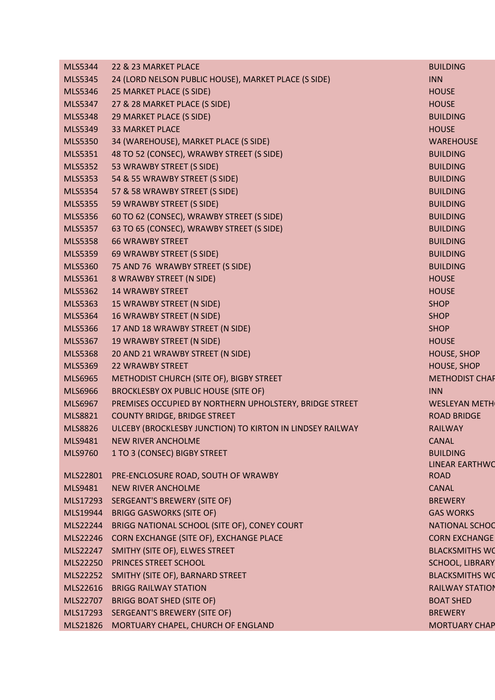| <b>MLS5344</b> | 22 & 23 MARKET PLACE                                      | <b>BUILDING</b>        |
|----------------|-----------------------------------------------------------|------------------------|
| <b>MLS5345</b> | 24 (LORD NELSON PUBLIC HOUSE), MARKET PLACE (S SIDE)      | <b>INN</b>             |
| <b>MLS5346</b> | 25 MARKET PLACE (S SIDE)                                  | <b>HOUSE</b>           |
| MLS5347        | 27 & 28 MARKET PLACE (S SIDE)                             | <b>HOUSE</b>           |
| <b>MLS5348</b> | 29 MARKET PLACE (S SIDE)                                  | <b>BUILDING</b>        |
| MLS5349        | <b>33 MARKET PLACE</b>                                    | <b>HOUSE</b>           |
| <b>MLS5350</b> | 34 (WAREHOUSE), MARKET PLACE (S SIDE)                     | <b>WAREHOUSE</b>       |
| MLS5351        | 48 TO 52 (CONSEC), WRAWBY STREET (S SIDE)                 | <b>BUILDING</b>        |
| <b>MLS5352</b> | 53 WRAWBY STREET (S SIDE)                                 | <b>BUILDING</b>        |
| <b>MLS5353</b> | 54 & 55 WRAWBY STREET (S SIDE)                            | <b>BUILDING</b>        |
| <b>MLS5354</b> | 57 & 58 WRAWBY STREET (S SIDE)                            | <b>BUILDING</b>        |
| <b>MLS5355</b> | 59 WRAWBY STREET (S SIDE)                                 | <b>BUILDING</b>        |
| <b>MLS5356</b> | 60 TO 62 (CONSEC), WRAWBY STREET (S SIDE)                 | <b>BUILDING</b>        |
| <b>MLS5357</b> | 63 TO 65 (CONSEC), WRAWBY STREET (S SIDE)                 | <b>BUILDING</b>        |
| <b>MLS5358</b> | <b>66 WRAWBY STREET</b>                                   | <b>BUILDING</b>        |
| <b>MLS5359</b> | 69 WRAWBY STREET (S SIDE)                                 | <b>BUILDING</b>        |
| <b>MLS5360</b> | 75 AND 76 WRAWBY STREET (S SIDE)                          | <b>BUILDING</b>        |
| MLS5361        | 8 WRAWBY STREET (N SIDE)                                  | <b>HOUSE</b>           |
| MLS5362        | <b>14 WRAWBY STREET</b>                                   | <b>HOUSE</b>           |
| MLS5363        | 15 WRAWBY STREET (N SIDE)                                 | <b>SHOP</b>            |
| <b>MLS5364</b> | 16 WRAWBY STREET (N SIDE)                                 | <b>SHOP</b>            |
| <b>MLS5366</b> | 17 AND 18 WRAWBY STREET (N SIDE)                          | <b>SHOP</b>            |
| MLS5367        | 19 WRAWBY STREET (N SIDE)                                 | <b>HOUSE</b>           |
| <b>MLS5368</b> | 20 AND 21 WRAWBY STREET (N SIDE)                          | HOUSE, SHOP            |
| <b>MLS5369</b> | <b>22 WRAWBY STREET</b>                                   | HOUSE, SHOP            |
| <b>MLS6965</b> | METHODIST CHURCH (SITE OF), BIGBY STREET                  | <b>METHODIST CHAP</b>  |
| <b>MLS6966</b> | <b>BROCKLESBY OX PUBLIC HOUSE (SITE OF)</b>               | <b>INN</b>             |
| <b>MLS6967</b> | PREMISES OCCUPIED BY NORTHERN UPHOLSTERY, BRIDGE STREET   | <b>WESLEYAN METH</b>   |
| <b>MLS8821</b> | <b>COUNTY BRIDGE, BRIDGE STREET</b>                       | <b>ROAD BRIDGE</b>     |
| <b>MLS8826</b> | ULCEBY (BROCKLESBY JUNCTION) TO KIRTON IN LINDSEY RAILWAY | <b>RAILWAY</b>         |
| MLS9481        | <b>NEW RIVER ANCHOLME</b>                                 | <b>CANAL</b>           |
| <b>MLS9760</b> | 1 TO 3 (CONSEC) BIGBY STREET                              | <b>BUILDING</b>        |
|                |                                                           | <b>LINEAR EARTHWO</b>  |
| MLS22801       | PRE-ENCLOSURE ROAD, SOUTH OF WRAWBY                       | <b>ROAD</b>            |
| MLS9481        | <b>NEW RIVER ANCHOLME</b>                                 | <b>CANAL</b>           |
| MLS17293       | <b>SERGEANT'S BREWERY (SITE OF)</b>                       | <b>BREWERY</b>         |
| MLS19944       | <b>BRIGG GASWORKS (SITE OF)</b>                           | <b>GAS WORKS</b>       |
| MLS22244       | BRIGG NATIONAL SCHOOL (SITE OF), CONEY COURT              | <b>NATIONAL SCHOO</b>  |
| MLS22246       | CORN EXCHANGE (SITE OF), EXCHANGE PLACE                   | <b>CORN EXCHANGE</b>   |
| MLS22247       | SMITHY (SITE OF), ELWES STREET                            | <b>BLACKSMITHS WO</b>  |
| MLS22250       | PRINCES STREET SCHOOL                                     | <b>SCHOOL, LIBRARY</b> |
| MLS22252       | SMITHY (SITE OF), BARNARD STREET                          | <b>BLACKSMITHS WO</b>  |
| MLS22616       | <b>BRIGG RAILWAY STATION</b>                              | <b>RAILWAY STATION</b> |
| MLS22707       | <b>BRIGG BOAT SHED (SITE OF)</b>                          | <b>BOAT SHED</b>       |
|                | MLS17293 SERGEANT'S BREWERY (SITE OF)                     | <b>BREWERY</b>         |
| MLS21826       | MORTUARY CHAPEL, CHURCH OF ENGLAND                        | <b>MORTUARY CHAP</b>   |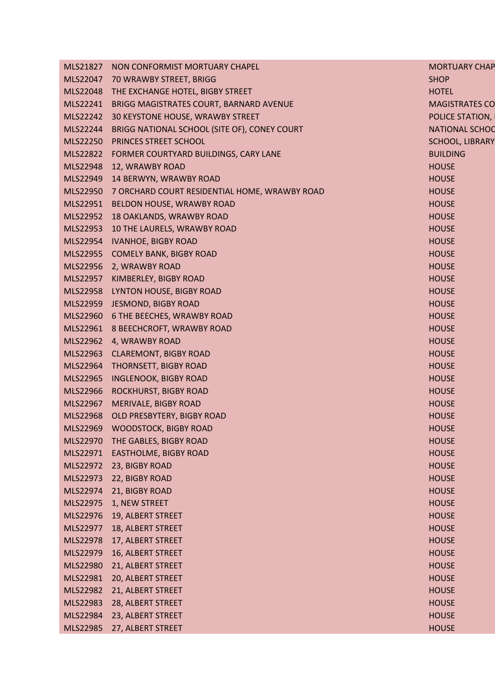| MLS21827 | NON CONFORMIST MORTUARY CHAPEL                         | <b>MORTUARY CHAP</b>   |
|----------|--------------------------------------------------------|------------------------|
|          | MLS22047 70 WRAWBY STREET, BRIGG                       | <b>SHOP</b>            |
|          | MLS22048 THE EXCHANGE HOTEL, BIGBY STREET              | <b>HOTEL</b>           |
|          | MLS22241 BRIGG MAGISTRATES COURT, BARNARD AVENUE       | <b>MAGISTRATES CO</b>  |
|          | MLS22242 30 KEYSTONE HOUSE, WRAWBY STREET              | POLICE STATION,        |
|          | MLS22244 BRIGG NATIONAL SCHOOL (SITE OF), CONEY COURT  | <b>NATIONAL SCHOO</b>  |
|          | MLS22250 PRINCES STREET SCHOOL                         | <b>SCHOOL, LIBRARY</b> |
|          | MLS22822 FORMER COURTYARD BUILDINGS, CARY LANE         | <b>BUILDING</b>        |
|          | MLS22948 12, WRAWBY ROAD                               | <b>HOUSE</b>           |
|          | MLS22949 14 BERWYN, WRAWBY ROAD                        | <b>HOUSE</b>           |
|          | MLS22950 7 ORCHARD COURT RESIDENTIAL HOME, WRAWBY ROAD | <b>HOUSE</b>           |
|          | MLS22951 BELDON HOUSE, WRAWBY ROAD                     | <b>HOUSE</b>           |
|          | MLS22952 18 OAKLANDS, WRAWBY ROAD                      | <b>HOUSE</b>           |
|          | MLS22953 10 THE LAURELS, WRAWBY ROAD                   | <b>HOUSE</b>           |
|          | MLS22954 IVANHOE, BIGBY ROAD                           | <b>HOUSE</b>           |
|          | MLS22955 COMELY BANK, BIGBY ROAD                       | <b>HOUSE</b>           |
|          | MLS22956 2, WRAWBY ROAD                                | <b>HOUSE</b>           |
|          | MLS22957 KIMBERLEY, BIGBY ROAD                         | <b>HOUSE</b>           |
|          | MLS22958 LYNTON HOUSE, BIGBY ROAD                      | <b>HOUSE</b>           |
|          | MLS22959 JESMOND, BIGBY ROAD                           | <b>HOUSE</b>           |
|          | MLS22960 6 THE BEECHES, WRAWBY ROAD                    | <b>HOUSE</b>           |
|          | MLS22961 8 BEECHCROFT, WRAWBY ROAD                     | <b>HOUSE</b>           |
|          | MLS22962 4, WRAWBY ROAD                                | <b>HOUSE</b>           |
|          | MLS22963 CLAREMONT, BIGBY ROAD                         | <b>HOUSE</b>           |
|          | MLS22964 THORNSETT, BIGBY ROAD                         | <b>HOUSE</b>           |
|          | MLS22965 INGLENOOK, BIGBY ROAD                         | <b>HOUSE</b>           |
|          | MLS22966 ROCKHURST, BIGBY ROAD                         | <b>HOUSE</b>           |
| MLS22967 | MERIVALE, BIGBY ROAD                                   | <b>HOUSE</b>           |
|          | MLS22968 OLD PRESBYTERY, BIGBY ROAD                    | <b>HOUSE</b>           |
|          | MLS22969 WOODSTOCK, BIGBY ROAD                         | <b>HOUSE</b>           |
| MLS22970 | THE GABLES, BIGBY ROAD                                 | <b>HOUSE</b>           |
| MLS22971 | <b>EASTHOLME, BIGBY ROAD</b>                           | <b>HOUSE</b>           |
| MLS22972 | 23, BIGBY ROAD                                         | <b>HOUSE</b>           |
| MLS22973 | 22, BIGBY ROAD                                         | <b>HOUSE</b>           |
| MLS22974 | 21, BIGBY ROAD                                         | <b>HOUSE</b>           |
| MLS22975 | 1, NEW STREET                                          | <b>HOUSE</b>           |
| MLS22976 | 19, ALBERT STREET                                      | <b>HOUSE</b>           |
| MLS22977 | 18, ALBERT STREET                                      | <b>HOUSE</b>           |
| MLS22978 | 17, ALBERT STREET                                      | <b>HOUSE</b>           |
| MLS22979 | 16, ALBERT STREET                                      | <b>HOUSE</b>           |
| MLS22980 | 21, ALBERT STREET                                      | <b>HOUSE</b>           |
| MLS22981 | 20, ALBERT STREET                                      | <b>HOUSE</b>           |
| MLS22982 | 21, ALBERT STREET                                      | <b>HOUSE</b>           |
| MLS22983 | 28, ALBERT STREET                                      | <b>HOUSE</b>           |
| MLS22984 | 23, ALBERT STREET                                      | <b>HOUSE</b>           |
| MLS22985 | 27, ALBERT STREET                                      | <b>HOUSE</b>           |
|          |                                                        |                        |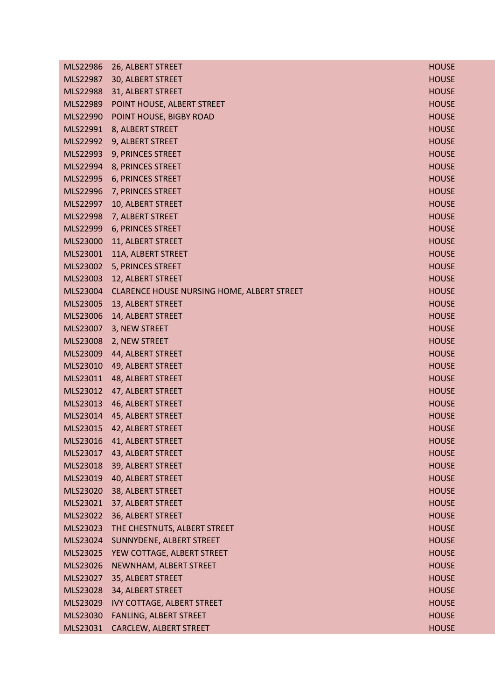| MLS22986 | 26, ALBERT STREET                          | <b>HOUSE</b> |
|----------|--------------------------------------------|--------------|
| MLS22987 | 30, ALBERT STREET                          | <b>HOUSE</b> |
| MLS22988 | 31, ALBERT STREET                          | <b>HOUSE</b> |
| MLS22989 | POINT HOUSE, ALBERT STREET                 | <b>HOUSE</b> |
| MLS22990 | POINT HOUSE, BIGBY ROAD                    | <b>HOUSE</b> |
| MLS22991 | 8, ALBERT STREET                           | <b>HOUSE</b> |
| MLS22992 | 9, ALBERT STREET                           | <b>HOUSE</b> |
| MLS22993 | 9, PRINCES STREET                          | <b>HOUSE</b> |
| MLS22994 | 8, PRINCES STREET                          | <b>HOUSE</b> |
| MLS22995 | <b>6, PRINCES STREET</b>                   | <b>HOUSE</b> |
| MLS22996 | 7, PRINCES STREET                          | <b>HOUSE</b> |
| MLS22997 | 10, ALBERT STREET                          | <b>HOUSE</b> |
| MLS22998 | 7, ALBERT STREET                           | <b>HOUSE</b> |
| MLS22999 | 6, PRINCES STREET                          | <b>HOUSE</b> |
| MLS23000 | 11, ALBERT STREET                          | <b>HOUSE</b> |
| MLS23001 | 11A, ALBERT STREET                         | <b>HOUSE</b> |
| MLS23002 | 5, PRINCES STREET                          | <b>HOUSE</b> |
| MLS23003 | 12, ALBERT STREET                          | <b>HOUSE</b> |
| MLS23004 | CLARENCE HOUSE NURSING HOME, ALBERT STREET | <b>HOUSE</b> |
| MLS23005 | 13, ALBERT STREET                          | <b>HOUSE</b> |
| MLS23006 | 14, ALBERT STREET                          | <b>HOUSE</b> |
| MLS23007 | 3, NEW STREET                              | <b>HOUSE</b> |
| MLS23008 | 2, NEW STREET                              | <b>HOUSE</b> |
| MLS23009 | 44, ALBERT STREET                          | <b>HOUSE</b> |
| MLS23010 | 49, ALBERT STREET                          | <b>HOUSE</b> |
| MLS23011 | 48, ALBERT STREET                          | <b>HOUSE</b> |
| MLS23012 | 47, ALBERT STREET                          | <b>HOUSE</b> |
| MLS23013 | 46, ALBERT STREET                          | <b>HOUSE</b> |
| MLS23014 | 45, ALBERT STREET                          | <b>HOUSE</b> |
| MLS23015 | 42, ALBERT STREET                          | <b>HOUSE</b> |
| MLS23016 | 41, ALBERT STREET                          | <b>HOUSE</b> |
| MLS23017 | 43, ALBERT STREET                          | <b>HOUSE</b> |
| MLS23018 | 39, ALBERT STREET                          | <b>HOUSE</b> |
| MLS23019 | 40, ALBERT STREET                          | <b>HOUSE</b> |
| MLS23020 | 38, ALBERT STREET                          | <b>HOUSE</b> |
| MLS23021 | 37, ALBERT STREET                          | <b>HOUSE</b> |
| MLS23022 | 36, ALBERT STREET                          | <b>HOUSE</b> |
| MLS23023 | THE CHESTNUTS, ALBERT STREET               | <b>HOUSE</b> |
| MLS23024 | SUNNYDENE, ALBERT STREET                   | <b>HOUSE</b> |
| MLS23025 | YEW COTTAGE, ALBERT STREET                 | <b>HOUSE</b> |
| MLS23026 | NEWNHAM, ALBERT STREET                     | <b>HOUSE</b> |
| MLS23027 | 35, ALBERT STREET                          | <b>HOUSE</b> |
| MLS23028 | 34, ALBERT STREET                          | <b>HOUSE</b> |
| MLS23029 | <b>IVY COTTAGE, ALBERT STREET</b>          | <b>HOUSE</b> |
| MLS23030 | FANLING, ALBERT STREET                     | <b>HOUSE</b> |
| MLS23031 | CARCLEW, ALBERT STREET                     | <b>HOUSE</b> |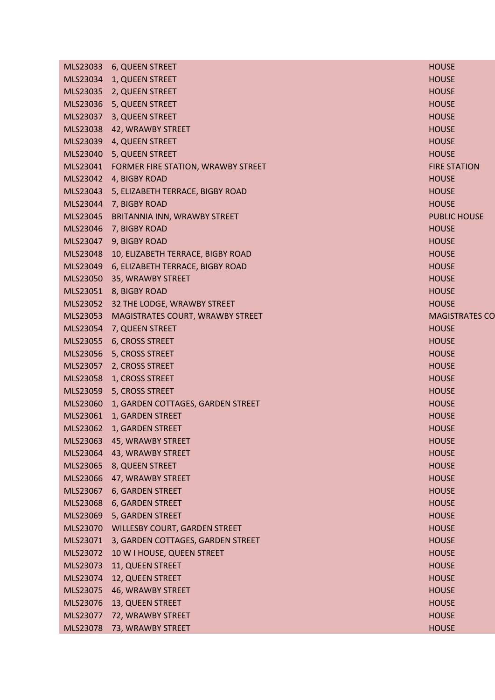|          | MLS23033 6, QUEEN STREET                    | <b>HOUSE</b>          |
|----------|---------------------------------------------|-----------------------|
| MLS23034 | 1, QUEEN STREET                             | <b>HOUSE</b>          |
| MLS23035 | 2, QUEEN STREET                             | <b>HOUSE</b>          |
| MLS23036 | 5, QUEEN STREET                             | <b>HOUSE</b>          |
| MLS23037 | 3, QUEEN STREET                             | <b>HOUSE</b>          |
| MLS23038 | 42, WRAWBY STREET                           | <b>HOUSE</b>          |
| MLS23039 | 4, QUEEN STREET                             | <b>HOUSE</b>          |
| MLS23040 | 5, QUEEN STREET                             | <b>HOUSE</b>          |
|          | MLS23041 FORMER FIRE STATION, WRAWBY STREET | <b>FIRE STATION</b>   |
|          | MLS23042 4, BIGBY ROAD                      | <b>HOUSE</b>          |
| MLS23043 | 5, ELIZABETH TERRACE, BIGBY ROAD            | <b>HOUSE</b>          |
| MLS23044 | 7, BIGBY ROAD                               | <b>HOUSE</b>          |
| MLS23045 | BRITANNIA INN, WRAWBY STREET                | <b>PUBLIC HOUSE</b>   |
| MLS23046 | 7, BIGBY ROAD                               | <b>HOUSE</b>          |
| MLS23047 | 9, BIGBY ROAD                               | <b>HOUSE</b>          |
| MLS23048 | 10, ELIZABETH TERRACE, BIGBY ROAD           | <b>HOUSE</b>          |
| MLS23049 | 6, ELIZABETH TERRACE, BIGBY ROAD            | <b>HOUSE</b>          |
| MLS23050 | 35, WRAWBY STREET                           | <b>HOUSE</b>          |
| MLS23051 | 8, BIGBY ROAD                               | <b>HOUSE</b>          |
| MLS23052 | 32 THE LODGE, WRAWBY STREET                 | <b>HOUSE</b>          |
| MLS23053 | MAGISTRATES COURT, WRAWBY STREET            | <b>MAGISTRATES CO</b> |
| MLS23054 | 7, QUEEN STREET                             | <b>HOUSE</b>          |
| MLS23055 | 6, CROSS STREET                             | <b>HOUSE</b>          |
| MLS23056 | 5, CROSS STREET                             | <b>HOUSE</b>          |
| MLS23057 | 2, CROSS STREET                             | <b>HOUSE</b>          |
| MLS23058 | 1, CROSS STREET                             | <b>HOUSE</b>          |
| MLS23059 | 5, CROSS STREET                             | <b>HOUSE</b>          |
| MLS23060 | 1, GARDEN COTTAGES, GARDEN STREET           | <b>HOUSE</b>          |
| MLS23061 | 1, GARDEN STREET                            | <b>HOUSE</b>          |
| MLS23062 | 1, GARDEN STREET                            | <b>HOUSE</b>          |
| MLS23063 | 45, WRAWBY STREET                           | <b>HOUSE</b>          |
| MLS23064 | 43, WRAWBY STREET                           | <b>HOUSE</b>          |
| MLS23065 | 8, QUEEN STREET                             | <b>HOUSE</b>          |
| MLS23066 | 47, WRAWBY STREET                           | <b>HOUSE</b>          |
| MLS23067 | 6, GARDEN STREET                            | <b>HOUSE</b>          |
| MLS23068 | 6, GARDEN STREET                            | <b>HOUSE</b>          |
| MLS23069 | 5, GARDEN STREET                            | <b>HOUSE</b>          |
| MLS23070 | <b>WILLESBY COURT, GARDEN STREET</b>        | <b>HOUSE</b>          |
| MLS23071 | 3, GARDEN COTTAGES, GARDEN STREET           | <b>HOUSE</b>          |
| MLS23072 | 10 W I HOUSE, QUEEN STREET                  | <b>HOUSE</b>          |
| MLS23073 | 11, QUEEN STREET                            | <b>HOUSE</b>          |
| MLS23074 | 12, QUEEN STREET                            | <b>HOUSE</b>          |
| MLS23075 | 46, WRAWBY STREET                           | <b>HOUSE</b>          |
| MLS23076 | 13, QUEEN STREET                            | <b>HOUSE</b>          |
| MLS23077 | 72, WRAWBY STREET                           | <b>HOUSE</b>          |
| MLS23078 | 73, WRAWBY STREET                           | <b>HOUSE</b>          |
|          |                                             |                       |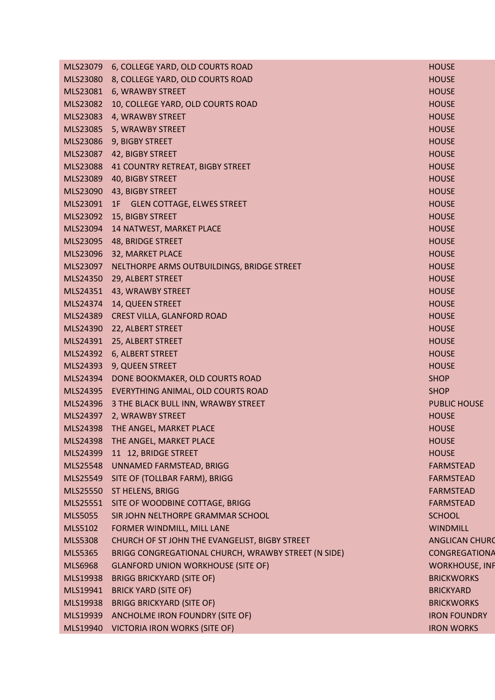|                | MLS23079 6, COLLEGE YARD, OLD COURTS ROAD           | <b>HOUSE</b>          |
|----------------|-----------------------------------------------------|-----------------------|
| MLS23080       | 8, COLLEGE YARD, OLD COURTS ROAD                    | <b>HOUSE</b>          |
| MLS23081       | 6, WRAWBY STREET                                    | <b>HOUSE</b>          |
| MLS23082       | 10, COLLEGE YARD, OLD COURTS ROAD                   | <b>HOUSE</b>          |
| MLS23083       | 4, WRAWBY STREET                                    | <b>HOUSE</b>          |
| MLS23085       | 5, WRAWBY STREET                                    | <b>HOUSE</b>          |
| MLS23086       | 9, BIGBY STREET                                     | <b>HOUSE</b>          |
| MLS23087       | 42, BIGBY STREET                                    | <b>HOUSE</b>          |
| MLS23088       | 41 COUNTRY RETREAT, BIGBY STREET                    | <b>HOUSE</b>          |
| MLS23089       | 40, BIGBY STREET                                    | <b>HOUSE</b>          |
| MLS23090       | 43, BIGBY STREET                                    | <b>HOUSE</b>          |
|                | MLS23091 1F GLEN COTTAGE, ELWES STREET              | <b>HOUSE</b>          |
| MLS23092       | 15, BIGBY STREET                                    | <b>HOUSE</b>          |
| MLS23094       | 14 NATWEST, MARKET PLACE                            | <b>HOUSE</b>          |
| MLS23095       | 48, BRIDGE STREET                                   | <b>HOUSE</b>          |
| MLS23096       | 32, MARKET PLACE                                    | <b>HOUSE</b>          |
| MLS23097       | NELTHORPE ARMS OUTBUILDINGS, BRIDGE STREET          | <b>HOUSE</b>          |
| MLS24350       | 29, ALBERT STREET                                   | <b>HOUSE</b>          |
| MLS24351       | 43, WRAWBY STREET                                   | <b>HOUSE</b>          |
| MLS24374       | 14, QUEEN STREET                                    | <b>HOUSE</b>          |
| MLS24389       | CREST VILLA, GLANFORD ROAD                          | <b>HOUSE</b>          |
| MLS24390       | 22, ALBERT STREET                                   | <b>HOUSE</b>          |
| MLS24391       | 25, ALBERT STREET                                   | <b>HOUSE</b>          |
|                | MLS24392 6, ALBERT STREET                           | <b>HOUSE</b>          |
| MLS24393       | 9, QUEEN STREET                                     | <b>HOUSE</b>          |
| MLS24394       | DONE BOOKMAKER, OLD COURTS ROAD                     | <b>SHOP</b>           |
| MLS24395       | EVERYTHING ANIMAL, OLD COURTS ROAD                  | <b>SHOP</b>           |
| MLS24396       | 3 THE BLACK BULL INN, WRAWBY STREET                 | <b>PUBLIC HOUSE</b>   |
| MLS24397       | 2, WRAWBY STREET                                    | <b>HOUSE</b>          |
| MLS24398       | THE ANGEL, MARKET PLACE                             | <b>HOUSE</b>          |
| MLS24398       | THE ANGEL, MARKET PLACE                             | <b>HOUSE</b>          |
| MLS24399       | 11 12, BRIDGE STREET                                | <b>HOUSE</b>          |
| MLS25548       | UNNAMED FARMSTEAD, BRIGG                            | <b>FARMSTEAD</b>      |
| MLS25549       | SITE OF (TOLLBAR FARM), BRIGG                       | <b>FARMSTEAD</b>      |
| MLS25550       | ST HELENS, BRIGG                                    | <b>FARMSTEAD</b>      |
| MLS25551       | SITE OF WOODBINE COTTAGE, BRIGG                     | <b>FARMSTEAD</b>      |
| <b>MLS5055</b> | SIR JOHN NELTHORPE GRAMMAR SCHOOL                   | <b>SCHOOL</b>         |
| MLS5102        | FORMER WINDMILL, MILL LANE                          | <b>WINDMILL</b>       |
| <b>MLS5308</b> | CHURCH OF ST JOHN THE EVANGELIST, BIGBY STREET      | <b>ANGLICAN CHURO</b> |
| <b>MLS5365</b> | BRIGG CONGREGATIONAL CHURCH, WRAWBY STREET (N SIDE) | <b>CONGREGATIONA</b>  |
| <b>MLS6968</b> | <b>GLANFORD UNION WORKHOUSE (SITE OF)</b>           | <b>WORKHOUSE, INF</b> |
| MLS19938       | <b>BRIGG BRICKYARD (SITE OF)</b>                    | <b>BRICKWORKS</b>     |
| MLS19941       | <b>BRICK YARD (SITE OF)</b>                         | <b>BRICKYARD</b>      |
| MLS19938       | <b>BRIGG BRICKYARD (SITE OF)</b>                    | <b>BRICKWORKS</b>     |
| MLS19939       | ANCHOLME IRON FOUNDRY (SITE OF)                     | <b>IRON FOUNDRY</b>   |
| MLS19940       | <b>VICTORIA IRON WORKS (SITE OF)</b>                | <b>IRON WORKS</b>     |
|                |                                                     |                       |